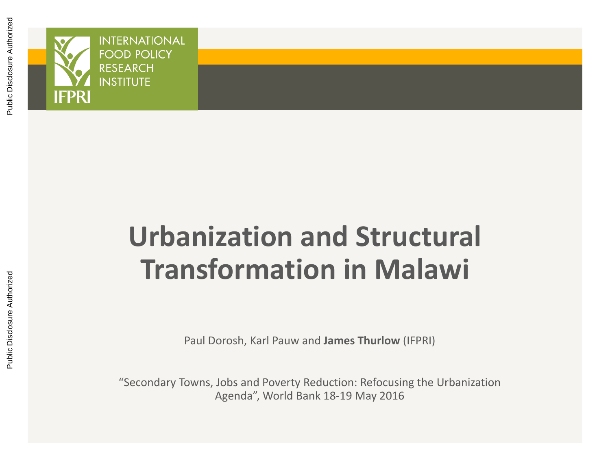

# **Urbanization and Structural Transformation in Malawi**

Paul Dorosh, Karl Pauw and **James Thurlow** (IFPRI)

"Secondary Towns, Jobs and Poverty Reduction: Refocusing the Urbanization Agenda", World Bank 18‐19 May 2016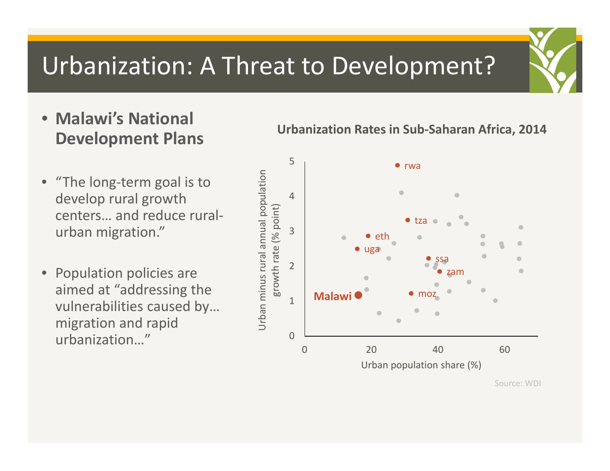### Urbanization: A Threat to Development?

- **Malawi's National Development Plans**
- "The long-term goal is to develop rural growth centers… and reduce rural ‐ urban migration."
- • Population policies are aimed at "addressing the vulnerabilities caused by… migration and rapid urbanization…"

#### **Urbanization Rates in Sub‐Saharan Africa, 2014**



Source: WDI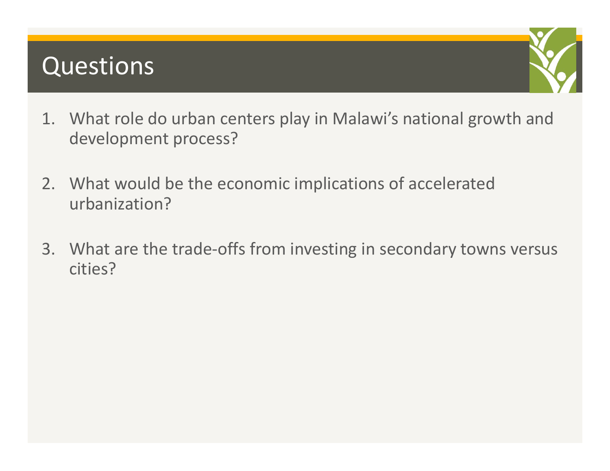### Questions



- 1. What role do urban centers play in Malawi's national growth and development process?
- 2. What would be the economic implications of accelerated urbanization?
- 3. What are the trade‐offs from investing in secondary towns versus cities?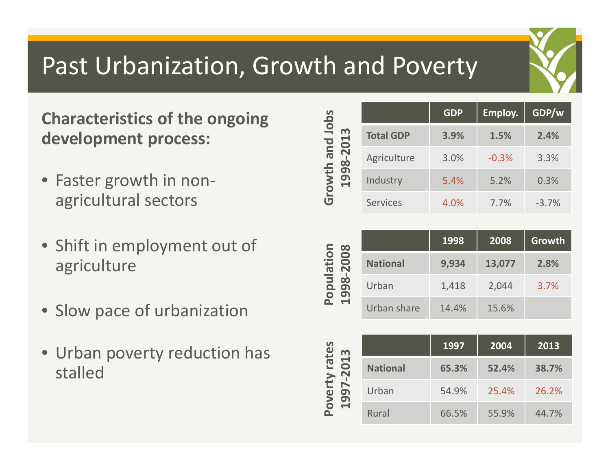## Past Urbanization, Growth and Poverty

### **Characteristics of the ongoing development process:**

- Faster growth in non‐ agricultural sectors
- Shift in employment out of agriculture
- Slow pace of urbanization
- Urban poverty reduction has stalled

| Jobs                                |                  | <b>GDP</b> | Employ. | GDP/w   |
|-------------------------------------|------------------|------------|---------|---------|
| m                                   | <b>Total GDP</b> | 3.9%       | 1.5%    | 2.4%    |
| $-2013$<br>and<br>8<br>rowth<br>199 | Agriculture      | 3.0%       | $-0.3%$ | 3.3%    |
|                                     | Industry         | 5.4%       | 5.2%    | 0.3%    |
| $\overline{C}$                      | <b>Services</b>  | 4.0%       | 7.7%    | $-3.7%$ |

|                                               |                 | 1998  | 2008   | Growth |
|-----------------------------------------------|-----------------|-------|--------|--------|
| ulation<br>2008                               | <b>National</b> | 9,934 | 13,077 | 2.8%   |
| 98<br>$\overline{\mathbf{Q}}$<br>$\mathbf{a}$ | Urban           | 1,418 | 2,044  | 3.7%   |
|                                               | Urban share     | 14.4% | 15.6%  |        |

| rates<br>013<br>$\bar{\bf N}$<br>N<br>ye<br>199 |                 | 1997<br>2004 |       | 2013  |
|-------------------------------------------------|-----------------|--------------|-------|-------|
|                                                 | <b>National</b> | 65.3%        | 52.4% | 38.7% |
|                                                 | Urban           | 54.9%        | 25.4% | 26.2% |
|                                                 | <b>Rural</b>    | 66.5%        | 55.9% | 44.7% |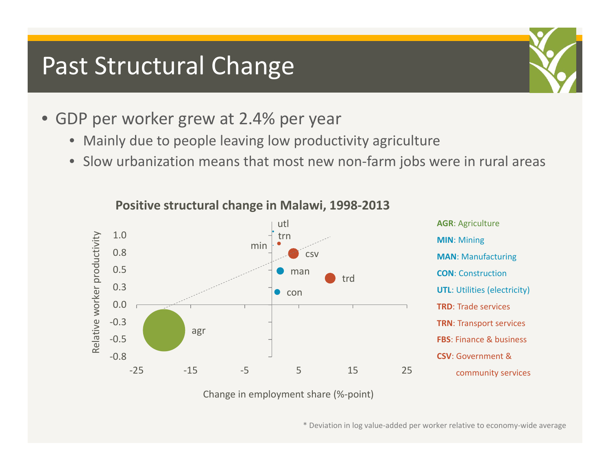### Past Structural Change

- GDP per worker grew at 2.4% per year
	- $\bullet$ Mainly due to people leaving low productivity agriculture
	- Slow urbanization means that most new non‐farm jobs were in rural areas



#### **Positive structural change in Malawi, 1998‐2013**

Change in employment share (%‐point)

\* Deviation in log value‐added per worker relative to economy‐wide average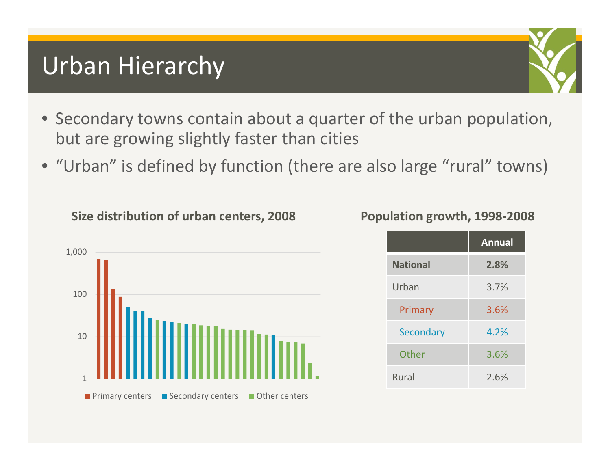### Urban Hierarchy

- Secondary towns contain about <sup>a</sup> quarter of the urban population, but are growing slightly faster than cities
- "Urban" is defined by function (there are also large "rural" towns)

**Size distribution of urban centers, 2008**



#### **Population growth, 1998‐2008**

|                 | <b>Annual</b> |
|-----------------|---------------|
| <b>National</b> | 2.8%          |
| Urban           | 3.7%          |
| Primary         | 3.6%          |
| Secondary       | 4.2%          |
| Other           | 3.6%          |
| Rural           | 2.6%          |

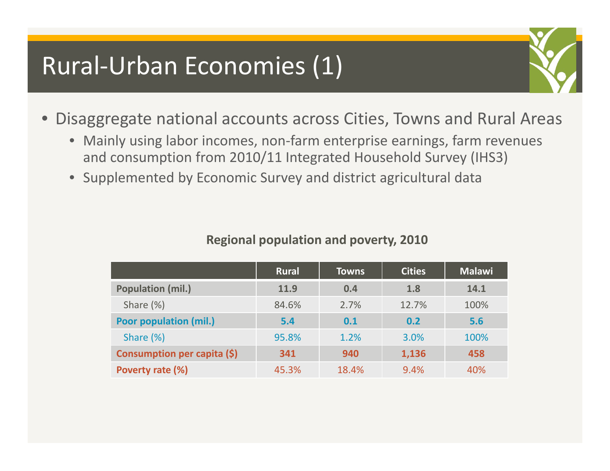### Rural‐Urban Economies (1)



- Disaggregate national accounts across Cities, Towns and Rural Areas
	- Mainly using labor incomes, non‐farm enterprise earnings, farm revenues and consumption from 2010/11 Integrated Household Survey (IHS3)
	- Supplemented by Economic Survey and district agricultural data

|                               | <b>Rural</b> | <b>Towns</b> | <b>Cities</b> | <b>Malawi</b> |
|-------------------------------|--------------|--------------|---------------|---------------|
| <b>Population (mil.)</b>      | 11.9         | 0.4          | 1.8           | 14.1          |
| Share $(\%)$                  | 84.6%        | 2.7%         | 12.7%         | 100%          |
| <b>Poor population (mil.)</b> | 5.4          | 0.1          | 0.2           | 5.6           |
| Share (%)                     | 95.8%        | 1.2%         | 3.0%          | 100%          |
| Consumption per capita (\$)   | 341          | 940          | 1,136         | 458           |
| Poverty rate (%)              | 45.3%        | 18.4%        | 9.4%          | 40%           |

#### **Regional population and poverty, 2010**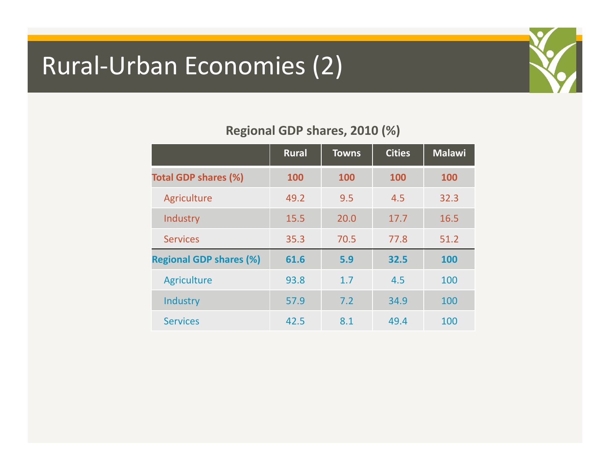### Rural‐Urban Economies (2)



#### **Regional GDP shares, 2010 (%)**

|                                | <b>Rural</b> | <b>Towns</b> | <b>Cities</b> | <b>Malawi</b> |
|--------------------------------|--------------|--------------|---------------|---------------|
| <b>Total GDP shares (%)</b>    | 100          | 100          | <b>100</b>    | 100           |
| Agriculture                    | 49.2         | 9.5          | 4.5           | 32.3          |
| Industry                       | 15.5         | 20.0         | 17.7          | 16.5          |
| <b>Services</b>                | 35.3         | 70.5         | 77.8          | 51.2          |
| <b>Regional GDP shares (%)</b> | 61.6         | 5.9          | 32.5          | 100           |
| Agriculture                    | 93.8         | 1.7          | 4.5           | 100           |
| Industry                       | 57.9         | 7.2          | 34.9          | 100           |
| <b>Services</b>                | 42.5         | 8.1          | 49.4          | 100           |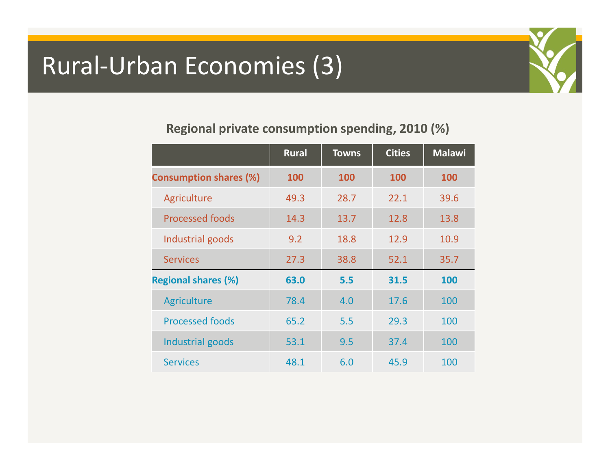### Rural‐Urban Economies (3)



#### **Regional private consumption spending, 2010 (%)**

|                               | <b>Rural</b> | <b>Towns</b> | <b>Cities</b> | <b>Malawi</b> |
|-------------------------------|--------------|--------------|---------------|---------------|
| <b>Consumption shares (%)</b> | 100          | 100          | 100           | 100           |
| Agriculture                   | 49.3         | 28.7         | 22.1          | 39.6          |
| <b>Processed foods</b>        | 14.3         | 13.7         | 12.8          | 13.8          |
| Industrial goods              | 9.2          | 18.8         | 12.9          | 10.9          |
| <b>Services</b>               | 27.3         | 38.8         | 52.1          | 35.7          |
| <b>Regional shares (%)</b>    | 63.0         | 5.5          | 31.5          | 100           |
| Agriculture                   | 78.4         | 4.0          | 17.6          | 100           |
| <b>Processed foods</b>        | 65.2         | 5.5          | 29.3          | 100           |
| Industrial goods              | 53.1         | 9.5          | 37.4          | 100           |
| <b>Services</b>               | 48.1         | 6.0          | 45.9          | 100           |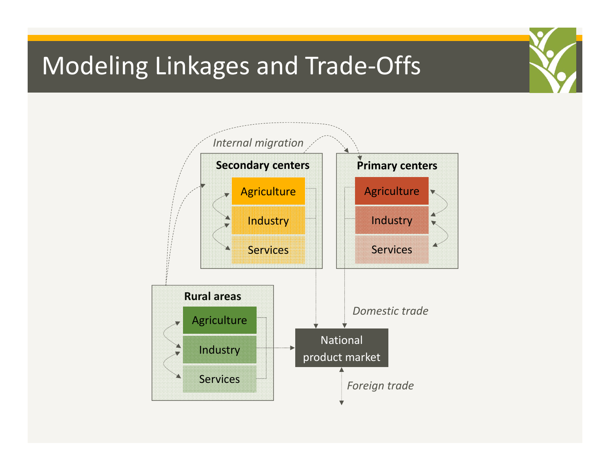### Modeling Linkages and Trade‐Offs

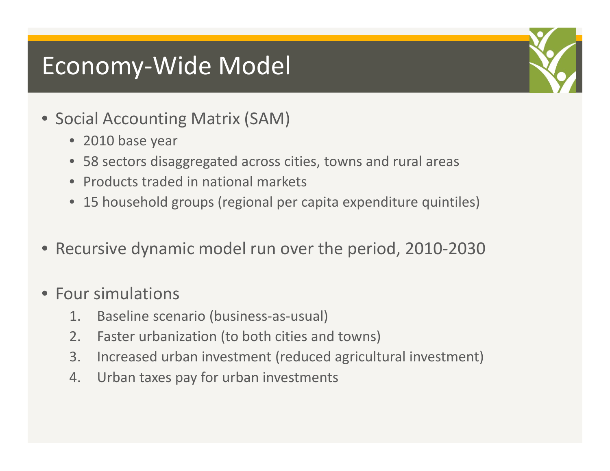### Economy‐Wide Model

- Social Accounting Matrix (SAM)
	- 2010 base year
	- 58 sectors disaggregated across cities, towns and rural areas
	- Products traded in national markets
	- 15 household groups (regional per capita expenditure quintiles)
- Recursive dynamic model run over the period, 2010‐2030
- Four simulations
	- 1. Baseline scenario (business‐as‐usual)
	- 2. Faster urbanization (to both cities and towns)
	- 3. Increased urban investment (reduced agricultural investment)
	- 4. Urban taxes pay for urban investments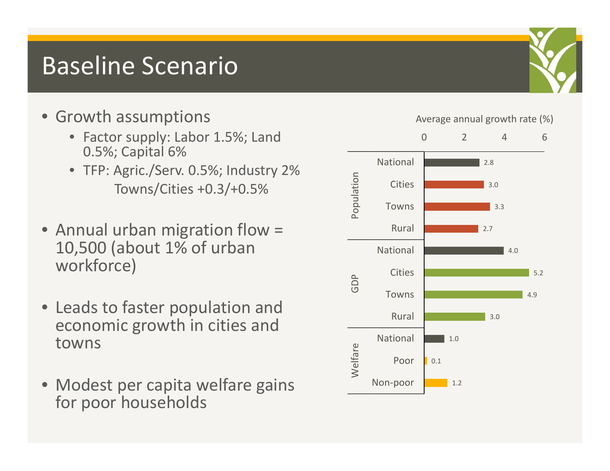### Baseline Scenario

- - Factor supply: Labor 1.5%; Land 0.5%; Capital 6%
	- TFP: Agric./Serv. 0.5%; Industry 2% Towns/Cities +0.3/+0.5%
- Annual urban migration flow = 10,500 (about 1% of urban workforce)
- Leads to faster population and economic growth in cities and towns
- Modest per capita welfare gains for poor households

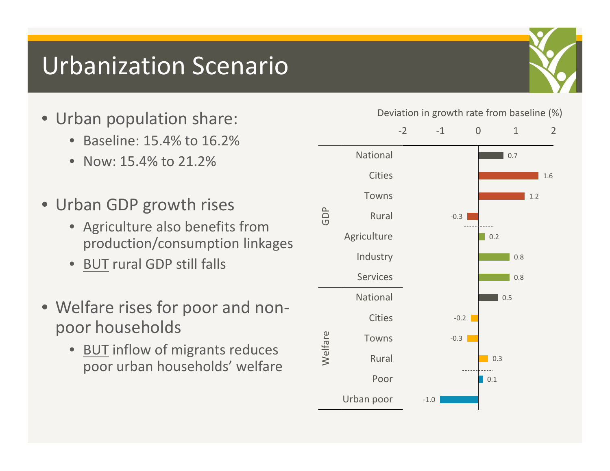### Urbanization Scenario

- Urban population share:
	- •Baseline: 15.4% to 16.2%
	- Now: 15.4% to 21.2%
- Urban GDP growth rises
	- Agriculture also benefits from production/consumption linkages
	- BUT rural GDP still falls
- Welfare rises for poor and non‐ poor households
	- BUT inflow of migrants reduces poor urban households' welfare

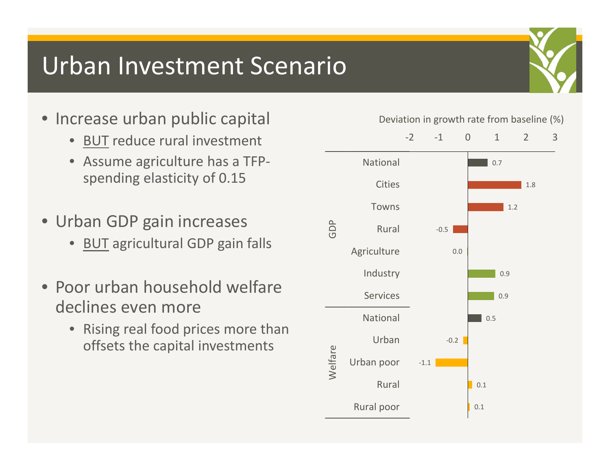### Urban Investment Scenario

- Increase urban public capital
	- •BUT reduce rural investment
	- Assume agriculture has <sup>a</sup> TFP‐ spending elasticity of 0.15
- Urban GDP gain increases
	- BUT agricultural GDP gain falls
- Poor urban household welfare declines even more
	- $\bullet$  Rising real food prices more than offsets the capital investments

#### Deviation in growth rate from baseline (%)

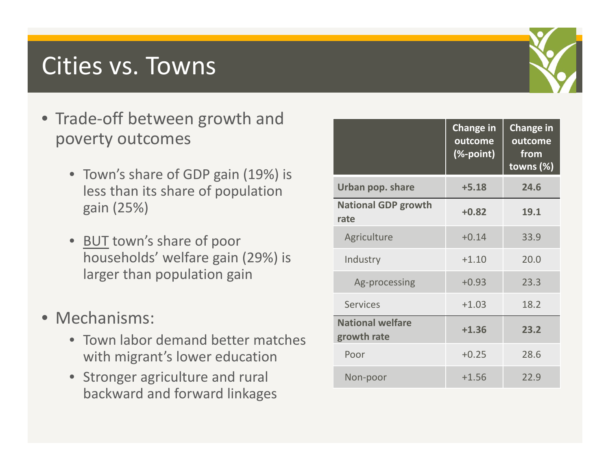### Cities vs. Towns

- Trade‐off between growth and poverty outcomes
	- Town's share of GDP gain (19%) is less than its share of population gain (25%)
	- BUT town's share of poor households' welfare gain (29%) is larger than population gain
- Mechanisms:
	- Town labor demand better matches with migrant's lower education
	- Stronger agriculture and rural backward and forward linkages

|                                        | <b>Change in</b><br>outcome<br>(%-point) | <b>Change in</b><br>outcome<br>from<br>towns $(\%)$ |
|----------------------------------------|------------------------------------------|-----------------------------------------------------|
| Urban pop. share                       | $+5.18$                                  | 24.6                                                |
| <b>National GDP growth</b><br>rate     | $+0.82$                                  | 19.1                                                |
| Agriculture                            | $+0.14$                                  | 33.9                                                |
| Industry                               | $+1.10$                                  | 20.0                                                |
| Ag-processing                          | $+0.93$                                  | 23.3                                                |
| <b>Services</b>                        | $+1.03$                                  | 18.2                                                |
| <b>National welfare</b><br>growth rate | $+1.36$                                  | 23.2                                                |
| Poor                                   | $+0.25$                                  | 28.6                                                |
| Non-poor                               | $+1.56$                                  | 22.9                                                |